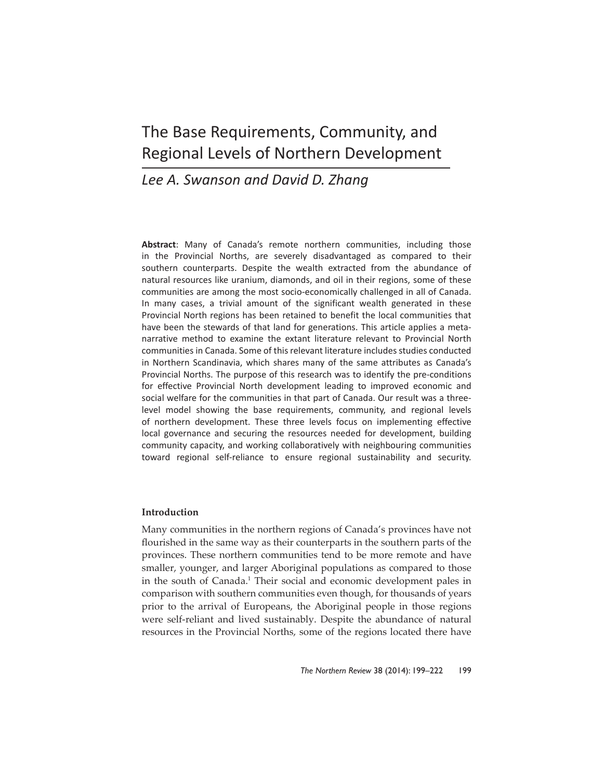# The Base Requirements, Community, and Regional Levels of Northern Development

# *Lee A. Swanson and David D. Zhang*

**Abstract**: Many of Canada's remote northern communities, including those in the Provincial Norths, are severely disadvantaged as compared to their southern counterparts. Despite the wealth extracted from the abundance of natural resources like uranium, diamonds, and oil in their regions, some of these communities are among the most socio-economically challenged in all of Canada. In many cases, a trivial amount of the significant wealth generated in these Provincial North regions has been retained to benefit the local communities that have been the stewards of that land for generations. This article applies a metanarrative method to examine the extant literature relevant to Provincial North communities in Canada. Some of this relevant literature includes studies conducted in Northern Scandinavia, which shares many of the same attributes as Canada's Provincial Norths. The purpose of this research was to identify the pre-conditions for effective Provincial North development leading to improved economic and social welfare for the communities in that part of Canada. Our result was a threelevel model showing the base requirements, community, and regional levels of northern development. These three levels focus on implementing effective local governance and securing the resources needed for development, building community capacity, and working collaboratively with neighbouring communities toward regional self-reliance to ensure regional sustainability and security.

# **Introduction**

Many communities in the northern regions of Canada's provinces have not flourished in the same way as their counterparts in the southern parts of the provinces. These northern communities tend to be more remote and have smaller, younger, and larger Aboriginal populations as compared to those in the south of Canada.<sup>1</sup> Their social and economic development pales in comparison with southern communities even though, for thousands of years prior to the arrival of Europeans, the Aboriginal people in those regions were self-reliant and lived sustainably. Despite the abundance of natural resources in the Provincial Norths, some of the regions located there have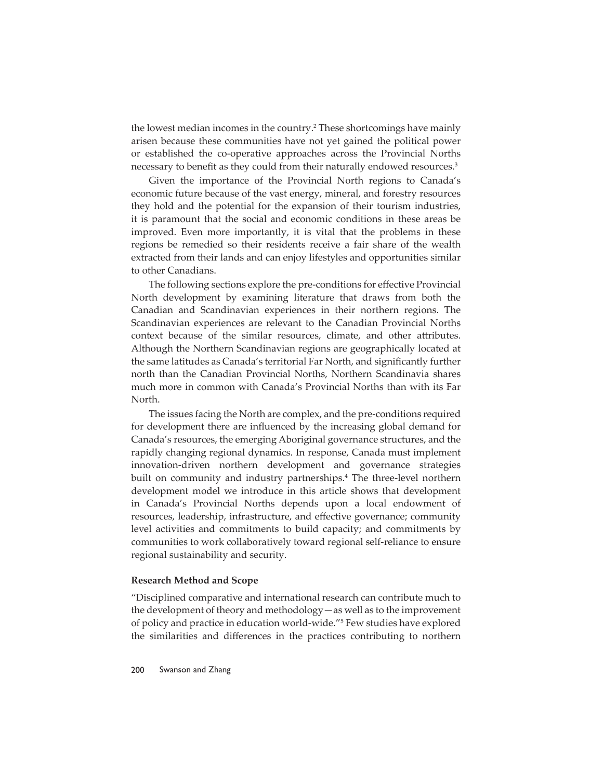the lowest median incomes in the country.<sup>2</sup> These shortcomings have mainly arisen because these communities have not yet gained the political power or established the co-operative approaches across the Provincial Norths necessary to benefit as they could from their naturally endowed resources.<sup>3</sup>

Given the importance of the Provincial North regions to Canada's economic future because of the vast energy, mineral, and forestry resources they hold and the potential for the expansion of their tourism industries, it is paramount that the social and economic conditions in these areas be improved. Even more importantly, it is vital that the problems in these regions be remedied so their residents receive a fair share of the wealth extracted from their lands and can enjoy lifestyles and opportunities similar to other Canadians.

The following sections explore the pre-conditions for effective Provincial North development by examining literature that draws from both the Canadian and Scandinavian experiences in their northern regions. The Scandinavian experiences are relevant to the Canadian Provincial Norths context because of the similar resources, climate, and other attributes. Although the Northern Scandinavian regions are geographically located at the same latitudes as Canada's territorial Far North, and significantly further north than the Canadian Provincial Norths, Northern Scandinavia shares much more in common with Canada's Provincial Norths than with its Far North.

The issues facing the North are complex, and the pre-conditions required for development there are influenced by the increasing global demand for Canada's resources, the emerging Aboriginal governance structures, and the rapidly changing regional dynamics. In response, Canada must implement innovation-driven northern development and governance strategies built on community and industry partnerships.4 The three-level northern development model we introduce in this article shows that development in Canada's Provincial Norths depends upon a local endowment of resources, leadership, infrastructure, and effective governance; community level activities and commitments to build capacity; and commitments by communities to work collaboratively toward regional self-reliance to ensure regional sustainability and security.

#### **Research Method and Scope**

"Disciplined comparative and international research can contribute much to the development of theory and methodology—as well as to the improvement of policy and practice in education world-wide."5 Few studies have explored the similarities and differences in the practices contributing to northern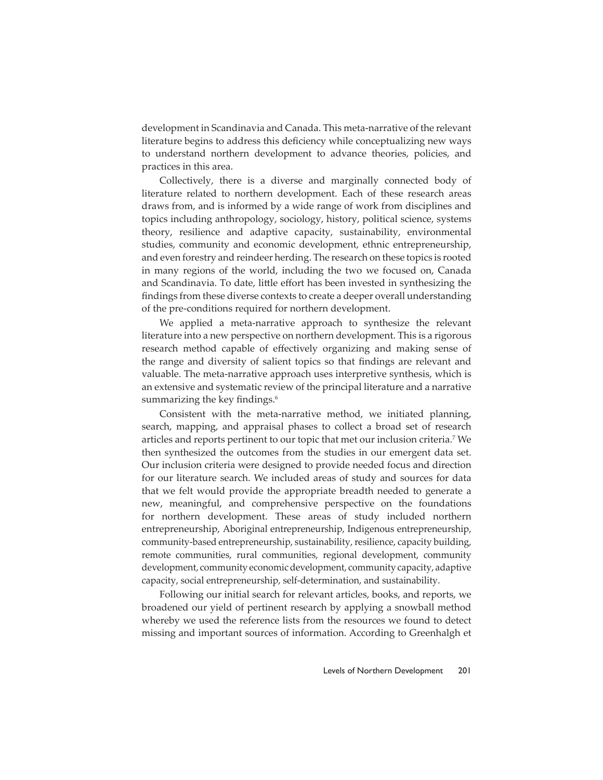development in Scandinavia and Canada. This meta-narrative of the relevant literature begins to address this deficiency while conceptualizing new ways to understand northern development to advance theories, policies, and practices in this area.

Collectively, there is a diverse and marginally connected body of literature related to northern development. Each of these research areas draws from, and is informed by a wide range of work from disciplines and topics including anthropology, sociology, history, political science, systems theory, resilience and adaptive capacity, sustainability, environmental studies, community and economic development, ethnic entrepreneurship, and even forestry and reindeer herding. The research on these topics is rooted in many regions of the world, including the two we focused on, Canada and Scandinavia. To date, little effort has been invested in synthesizing the findings from these diverse contexts to create a deeper overall understanding of the pre-conditions required for northern development.

We applied a meta-narrative approach to synthesize the relevant literature into a new perspective on northern development. This is a rigorous research method capable of effectively organizing and making sense of the range and diversity of salient topics so that findings are relevant and valuable. The meta-narrative approach uses interpretive synthesis, which is an extensive and systematic review of the principal literature and a narrative summarizing the key findings.<sup>6</sup>

Consistent with the meta-narrative method, we initiated planning, search, mapping, and appraisal phases to collect a broad set of research articles and reports pertinent to our topic that met our inclusion criteria.7 We then synthesized the outcomes from the studies in our emergent data set. Our inclusion criteria were designed to provide needed focus and direction for our literature search. We included areas of study and sources for data that we felt would provide the appropriate breadth needed to generate a new, meaningful, and comprehensive perspective on the foundations for northern development. These areas of study included northern entrepreneurship, Aboriginal entrepreneurship, Indigenous entrepreneurship, community-based entrepreneurship, sustainability, resilience, capacity building, remote communities, rural communities, regional development, community development, community economic development, community capacity, adaptive capacity, social entrepreneurship, self-determination, and sustainability.

Following our initial search for relevant articles, books, and reports, we broadened our yield of pertinent research by applying a snowball method whereby we used the reference lists from the resources we found to detect missing and important sources of information. According to Greenhalgh et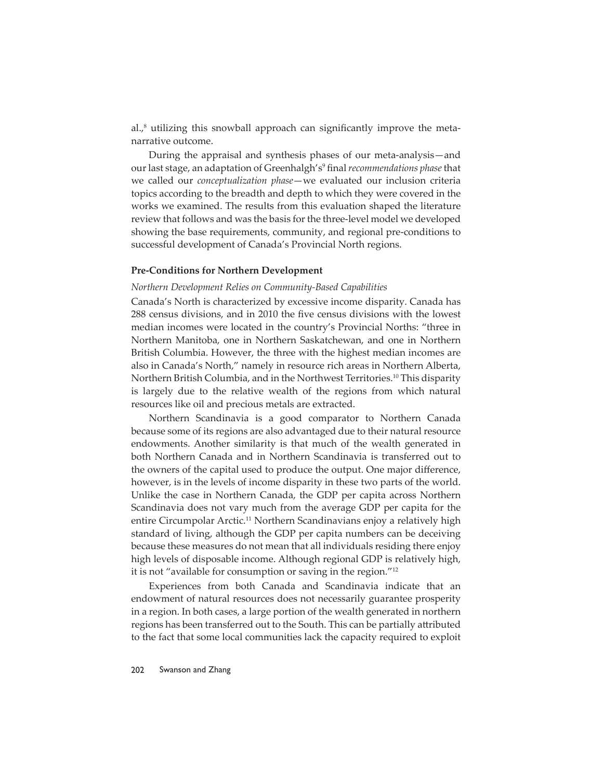al.,<sup>8</sup> utilizing this snowball approach can significantly improve the metanarrative outcome.

During the appraisal and synthesis phases of our meta-analysis—and our last stage, an adaptation of Greenhalgh's<sup>9</sup> final *recommendations phase* that we called our *conceptualization phase*—we evaluated our inclusion criteria topics according to the breadth and depth to which they were covered in the works we examined. The results from this evaluation shaped the literature review that follows and was the basis for the three-level model we developed showing the base requirements, community, and regional pre-conditions to successful development of Canada's Provincial North regions.

#### **Pre-Conditions for Northern Development**

#### *Northern Development Relies on Community-Based Capabilities*

Canada's North is characterized by excessive income disparity. Canada has 288 census divisions, and in 2010 the five census divisions with the lowest median incomes were located in the country's Provincial Norths: "three in Northern Manitoba, one in Northern Saskatchewan, and one in Northern British Columbia. However, the three with the highest median incomes are also in Canada's North," namely in resource rich areas in Northern Alberta, Northern British Columbia, and in the Northwest Territories.10 This disparity is largely due to the relative wealth of the regions from which natural resources like oil and precious metals are extracted.

Northern Scandinavia is a good comparator to Northern Canada because some of its regions are also advantaged due to their natural resource endowments. Another similarity is that much of the wealth generated in both Northern Canada and in Northern Scandinavia is transferred out to the owners of the capital used to produce the output. One major difference, however, is in the levels of income disparity in these two parts of the world. Unlike the case in Northern Canada, the GDP per capita across Northern Scandinavia does not vary much from the average GDP per capita for the entire Circumpolar Arctic.<sup>11</sup> Northern Scandinavians enjoy a relatively high standard of living, although the GDP per capita numbers can be deceiving because these measures do not mean that all individuals residing there enjoy high levels of disposable income. Although regional GDP is relatively high, it is not "available for consumption or saving in the region."12

Experiences from both Canada and Scandinavia indicate that an endowment of natural resources does not necessarily guarantee prosperity in a region. In both cases, a large portion of the wealth generated in northern regions has been transferred out to the South. This can be partially attributed to the fact that some local communities lack the capacity required to exploit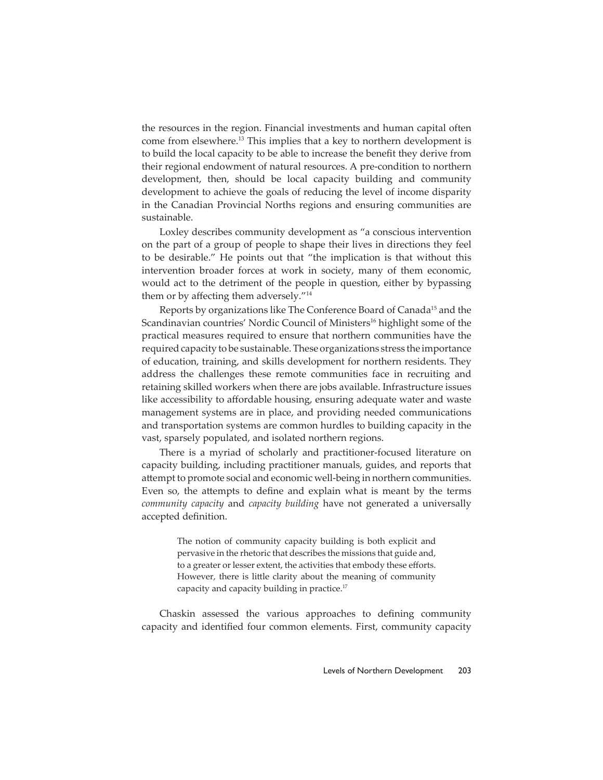the resources in the region. Financial investments and human capital often come from elsewhere.13 This implies that a key to northern development is to build the local capacity to be able to increase the benefit they derive from their regional endowment of natural resources. A pre-condition to northern development, then, should be local capacity building and community development to achieve the goals of reducing the level of income disparity in the Canadian Provincial Norths regions and ensuring communities are sustainable.

Loxley describes community development as "a conscious intervention on the part of a group of people to shape their lives in directions they feel to be desirable." He points out that "the implication is that without this intervention broader forces at work in society, many of them economic, would act to the detriment of the people in question, either by bypassing them or by affecting them adversely. $14$ 

Reports by organizations like The Conference Board of Canada<sup>15</sup> and the Scandinavian countries' Nordic Council of Ministers<sup>16</sup> highlight some of the practical measures required to ensure that northern communities have the required capacity to be sustainable. These organizations stress the importance of education, training, and skills development for northern residents. They address the challenges these remote communities face in recruiting and retaining skilled workers when there are jobs available. Infrastructure issues like accessibility to affordable housing, ensuring adequate water and waste management systems are in place, and providing needed communications and transportation systems are common hurdles to building capacity in the vast, sparsely populated, and isolated northern regions.

There is a myriad of scholarly and practitioner-focused literature on capacity building, including practitioner manuals, guides, and reports that attempt to promote social and economic well-being in northern communities. Even so, the attempts to define and explain what is meant by the terms *community capacity* and *capacity building* have not generated a universally accepted definition.

> The notion of community capacity building is both explicit and pervasive in the rhetoric that describes the missions that guide and, to a greater or lesser extent, the activities that embody these efforts. However, there is little clarity about the meaning of community capacity and capacity building in practice.<sup>17</sup>

Chaskin assessed the various approaches to defining community capacity and identified four common elements. First, community capacity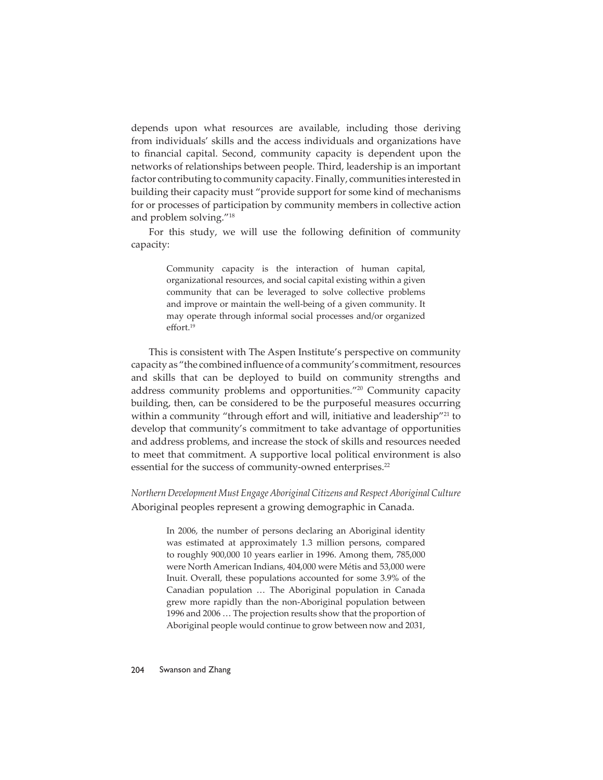depends upon what resources are available, including those deriving from individuals' skills and the access individuals and organizations have to financial capital. Second, community capacity is dependent upon the networks of relationships between people. Third, leadership is an important factor contributing to community capacity. Finally, communities interested in building their capacity must "provide support for some kind of mechanisms for or processes of participation by community members in collective action and problem solving."18

For this study, we will use the following definition of community capacity:

> Community capacity is the interaction of human capital, organizational resources, and social capital existing within a given community that can be leveraged to solve collective problems and improve or maintain the well-being of a given community. It may operate through informal social processes and/or organized effort.<sup>19</sup>

This is consistent with The Aspen Institute's perspective on community capacity as "the combined influence of a community's commitment, resources and skills that can be deployed to build on community strengths and address community problems and opportunities."20 Community capacity building, then, can be considered to be the purposeful measures occurring within a community "through effort and will, initiative and leadership"<sup>21</sup> to develop that community's commitment to take advantage of opportunities and address problems, and increase the stock of skills and resources needed to meet that commitment. A supportive local political environment is also essential for the success of community-owned enterprises.<sup>22</sup>

*Northern Development Must Engage Aboriginal Citizens and Respect Aboriginal Culture* Aboriginal peoples represent a growing demographic in Canada.

> In 2006, the number of persons declaring an Aboriginal identity was estimated at approximately 1.3 million persons, compared to roughly 900,000 10 years earlier in 1996. Among them, 785,000 were North American Indians, 404,000 were Métis and 53,000 were Inuit. Overall, these populations accounted for some 3.9% of the Canadian population … The Aboriginal population in Canada grew more rapidly than the non-Aboriginal population between 1996 and 2006 … The projection results show that the proportion of Aboriginal people would continue to grow between now and 2031,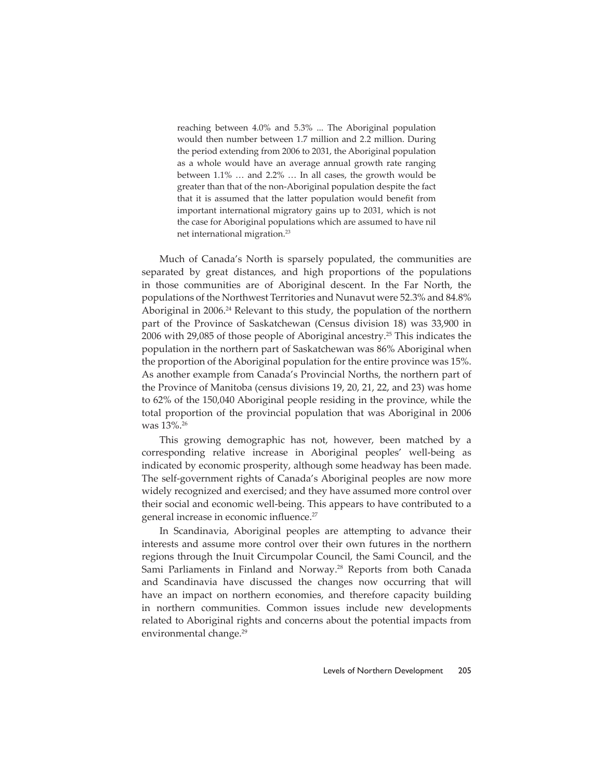reaching between 4.0% and 5.3% ... The Aboriginal population would then number between 1.7 million and 2.2 million. During the period extending from 2006 to 2031, the Aboriginal population as a whole would have an average annual growth rate ranging between 1.1% … and 2.2% … In all cases, the growth would be greater than that of the non-Aboriginal population despite the fact that it is assumed that the latter population would benefit from important international migratory gains up to 2031, which is not the case for Aboriginal populations which are assumed to have nil net international migration.23

Much of Canada's North is sparsely populated, the communities are separated by great distances, and high proportions of the populations in those communities are of Aboriginal descent. In the Far North, the populations of the Northwest Territories and Nunavut were 52.3% and 84.8% Aboriginal in 2006.<sup>24</sup> Relevant to this study, the population of the northern part of the Province of Saskatchewan (Census division 18) was 33,900 in 2006 with 29,085 of those people of Aboriginal ancestry.25 This indicates the population in the northern part of Saskatchewan was 86% Aboriginal when the proportion of the Aboriginal population for the entire province was 15%. As another example from Canada's Provincial Norths, the northern part of the Province of Manitoba (census divisions 19, 20, 21, 22, and 23) was home to 62% of the 150,040 Aboriginal people residing in the province, while the total proportion of the provincial population that was Aboriginal in 2006 was 13%.26

This growing demographic has not, however, been matched by a corresponding relative increase in Aboriginal peoples' well-being as indicated by economic prosperity, although some headway has been made. The self-government rights of Canada's Aboriginal peoples are now more widely recognized and exercised; and they have assumed more control over their social and economic well-being. This appears to have contributed to a general increase in economic influence.<sup>27</sup>

In Scandinavia, Aboriginal peoples are attempting to advance their interests and assume more control over their own futures in the northern regions through the Inuit Circumpolar Council, the Sami Council, and the Sami Parliaments in Finland and Norway.<sup>28</sup> Reports from both Canada and Scandinavia have discussed the changes now occurring that will have an impact on northern economies, and therefore capacity building in northern communities. Common issues include new developments related to Aboriginal rights and concerns about the potential impacts from environmental change.<sup>29</sup>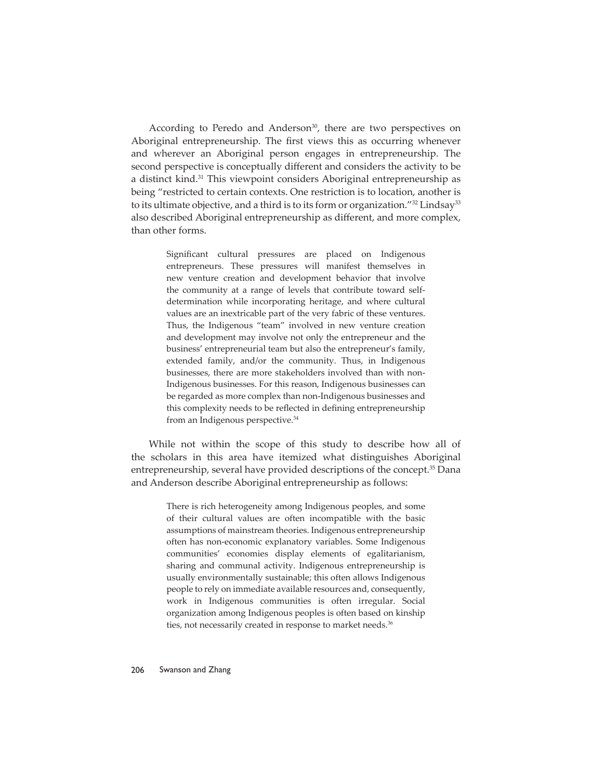According to Peredo and Anderson<sup>30</sup>, there are two perspectives on Aboriginal entrepreneurship. The first views this as occurring whenever and wherever an Aboriginal person engages in entrepreneurship. The second perspective is conceptually different and considers the activity to be a distinct kind.31 This viewpoint considers Aboriginal entrepreneurship as being "restricted to certain contexts. One restriction is to location, another is to its ultimate objective, and a third is to its form or organization."<sup>32</sup> Lindsay<sup>33</sup> also described Aboriginal entrepreneurship as different, and more complex, than other forms.

> Significant cultural pressures are placed on Indigenous entrepreneurs. These pressures will manifest themselves in new venture creation and development behavior that involve the community at a range of levels that contribute toward selfdetermination while incorporating heritage, and where cultural values are an inextricable part of the very fabric of these ventures. Thus, the Indigenous "team" involved in new venture creation and development may involve not only the entrepreneur and the business' entrepreneurial team but also the entrepreneur's family, extended family, and/or the community. Thus, in Indigenous businesses, there are more stakeholders involved than with non-Indigenous businesses. For this reason, Indigenous businesses can be regarded as more complex than non-Indigenous businesses and this complexity needs to be reflected in defining entrepreneurship from an Indigenous perspective.<sup>34</sup>

While not within the scope of this study to describe how all of the scholars in this area have itemized what distinguishes Aboriginal entrepreneurship, several have provided descriptions of the concept.<sup>35</sup> Dana and Anderson describe Aboriginal entrepreneurship as follows:

> There is rich heterogeneity among Indigenous peoples, and some of their cultural values are often incompatible with the basic assumptions of mainstream theories. Indigenous entrepreneurship often has non-economic explanatory variables. Some Indigenous communities' economies display elements of egalitarianism, sharing and communal activity. Indigenous entrepreneurship is usually environmentally sustainable; this often allows Indigenous people to rely on immediate available resources and, consequently, work in Indigenous communities is often irregular. Social organization among Indigenous peoples is often based on kinship ties, not necessarily created in response to market needs.<sup>36</sup>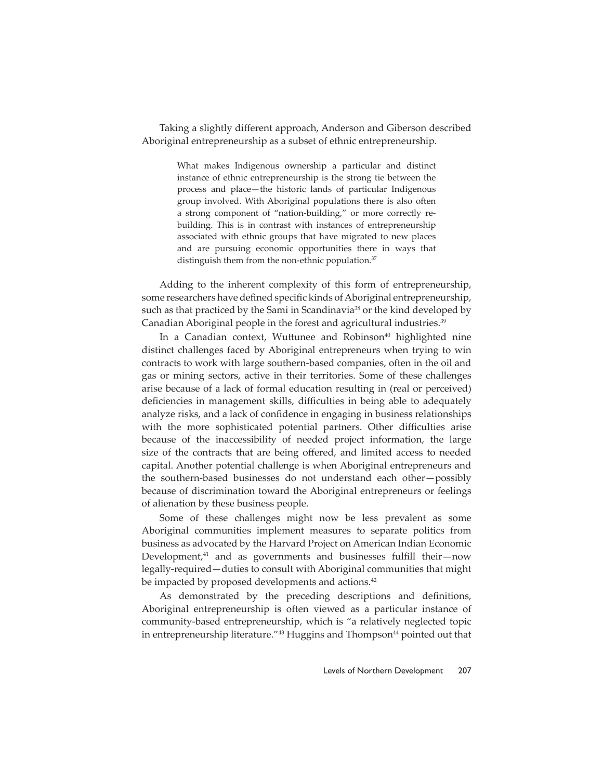Taking a slightly different approach, Anderson and Giberson described Aboriginal entrepreneurship as a subset of ethnic entrepreneurship.

> What makes Indigenous ownership a particular and distinct instance of ethnic entrepreneurship is the strong tie between the process and place—the historic lands of particular Indigenous group involved. With Aboriginal populations there is also often a strong component of "nation-building," or more correctly rebuilding. This is in contrast with instances of entrepreneurship associated with ethnic groups that have migrated to new places and are pursuing economic opportunities there in ways that distinguish them from the non-ethnic population.<sup>37</sup>

Adding to the inherent complexity of this form of entrepreneurship, some researchers have defined specific kinds of Aboriginal entrepreneurship, such as that practiced by the Sami in Scandinavia<sup>38</sup> or the kind developed by Canadian Aboriginal people in the forest and agricultural industries.39

In a Canadian context, Wuttunee and Robinson<sup>40</sup> highlighted nine distinct challenges faced by Aboriginal entrepreneurs when trying to win contracts to work with large southern-based companies, often in the oil and gas or mining sectors, active in their territories. Some of these challenges arise because of a lack of formal education resulting in (real or perceived) deficiencies in management skills, difficulties in being able to adequately analyze risks, and a lack of confidence in engaging in business relationships with the more sophisticated potential partners. Other difficulties arise because of the inaccessibility of needed project information, the large size of the contracts that are being offered, and limited access to needed capital. Another potential challenge is when Aboriginal entrepreneurs and the southern-based businesses do not understand each other—possibly because of discrimination toward the Aboriginal entrepreneurs or feelings of alienation by these business people.

Some of these challenges might now be less prevalent as some Aboriginal communities implement measures to separate politics from business as advocated by the Harvard Project on American Indian Economic Development, $41$  and as governments and businesses fulfill their—now legally-required—duties to consult with Aboriginal communities that might be impacted by proposed developments and actions.<sup>42</sup>

As demonstrated by the preceding descriptions and definitions, Aboriginal entrepreneurship is often viewed as a particular instance of community-based entrepreneurship, which is "a relatively neglected topic in entrepreneurship literature."<sup>43</sup> Huggins and Thompson<sup>44</sup> pointed out that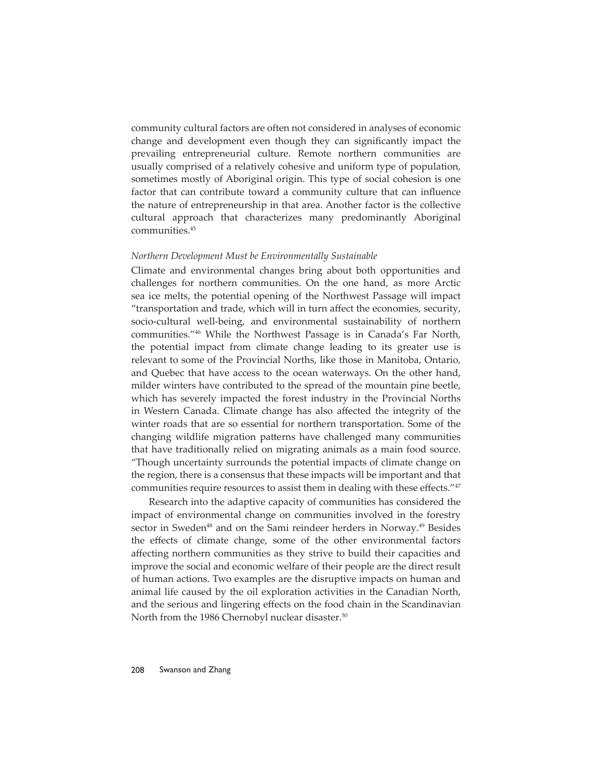community cultural factors are often not considered in analyses of economic change and development even though they can significantly impact the prevailing entrepreneurial culture. Remote northern communities are usually comprised of a relatively cohesive and uniform type of population, sometimes mostly of Aboriginal origin. This type of social cohesion is one factor that can contribute toward a community culture that can influence the nature of entrepreneurship in that area. Another factor is the collective cultural approach that characterizes many predominantly Aboriginal communities.45

#### *Northern Development Must be Environmentally Sustainable*

Climate and environmental changes bring about both opportunities and challenges for northern communities. On the one hand, as more Arctic sea ice melts, the potential opening of the Northwest Passage will impact "transportation and trade, which will in turn affect the economies, security, socio-cultural well-being, and environmental sustainability of northern communities."46 While the Northwest Passage is in Canada's Far North, the potential impact from climate change leading to its greater use is relevant to some of the Provincial Norths, like those in Manitoba, Ontario, and Quebec that have access to the ocean waterways. On the other hand, milder winters have contributed to the spread of the mountain pine beetle, which has severely impacted the forest industry in the Provincial Norths in Western Canada. Climate change has also affected the integrity of the winter roads that are so essential for northern transportation. Some of the changing wildlife migration patterns have challenged many communities that have traditionally relied on migrating animals as a main food source. "Though uncertainty surrounds the potential impacts of climate change on the region, there is a consensus that these impacts will be important and that communities require resources to assist them in dealing with these effects."47

Research into the adaptive capacity of communities has considered the impact of environmental change on communities involved in the forestry sector in Sweden<sup>48</sup> and on the Sami reindeer herders in Norway.<sup>49</sup> Besides the effects of climate change, some of the other environmental factors affecting northern communities as they strive to build their capacities and improve the social and economic welfare of their people are the direct result of human actions. Two examples are the disruptive impacts on human and animal life caused by the oil exploration activities in the Canadian North, and the serious and lingering effects on the food chain in the Scandinavian North from the 1986 Chernobyl nuclear disaster.<sup>50</sup>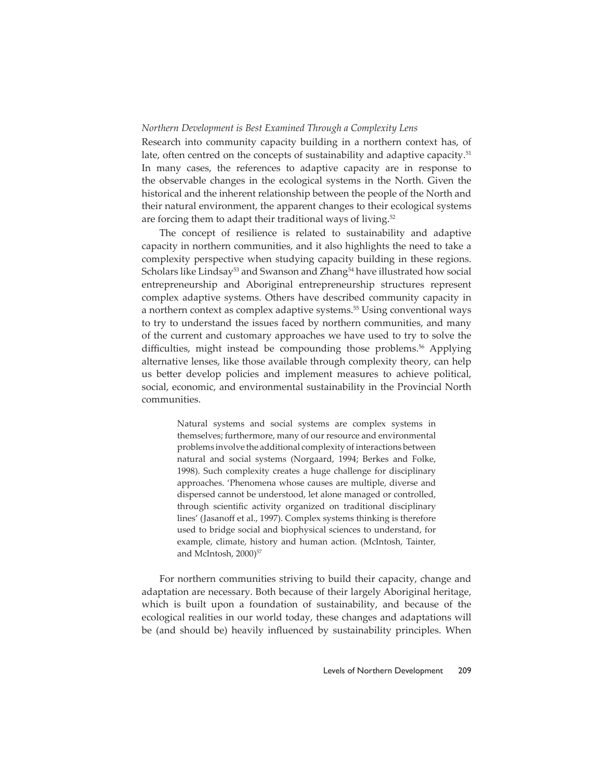# *Northern Development is Best Examined Through a Complexity Lens*

Research into community capacity building in a northern context has, of late, often centred on the concepts of sustainability and adaptive capacity.<sup>51</sup> In many cases, the references to adaptive capacity are in response to the observable changes in the ecological systems in the North. Given the historical and the inherent relationship between the people of the North and their natural environment, the apparent changes to their ecological systems are forcing them to adapt their traditional ways of living.<sup>52</sup>

The concept of resilience is related to sustainability and adaptive capacity in northern communities, and it also highlights the need to take a complexity perspective when studying capacity building in these regions. Scholars like Lindsay<sup>53</sup> and Swanson and Zhang<sup>54</sup> have illustrated how social entrepreneurship and Aboriginal entrepreneurship structures represent complex adaptive systems. Others have described community capacity in a northern context as complex adaptive systems.<sup>55</sup> Using conventional ways to try to understand the issues faced by northern communities, and many of the current and customary approaches we have used to try to solve the difficulties, might instead be compounding those problems.<sup>56</sup> Applying alternative lenses, like those available through complexity theory, can help us better develop policies and implement measures to achieve political, social, economic, and environmental sustainability in the Provincial North communities.

> Natural systems and social systems are complex systems in themselves; furthermore, many of our resource and environmental problems involve the additional complexity of interactions between natural and social systems (Norgaard, 1994; Berkes and Folke, 1998). Such complexity creates a huge challenge for disciplinary approaches. 'Phenomena whose causes are multiple, diverse and dispersed cannot be understood, let alone managed or controlled, through scientific activity organized on traditional disciplinary lines' (Jasanoff et al., 1997). Complex systems thinking is therefore used to bridge social and biophysical sciences to understand, for example, climate, history and human action. (McIntosh, Tainter, and McIntosh, 2000)<sup>57</sup>

For northern communities striving to build their capacity, change and adaptation are necessary. Both because of their largely Aboriginal heritage, which is built upon a foundation of sustainability, and because of the ecological realities in our world today, these changes and adaptations will be (and should be) heavily influenced by sustainability principles. When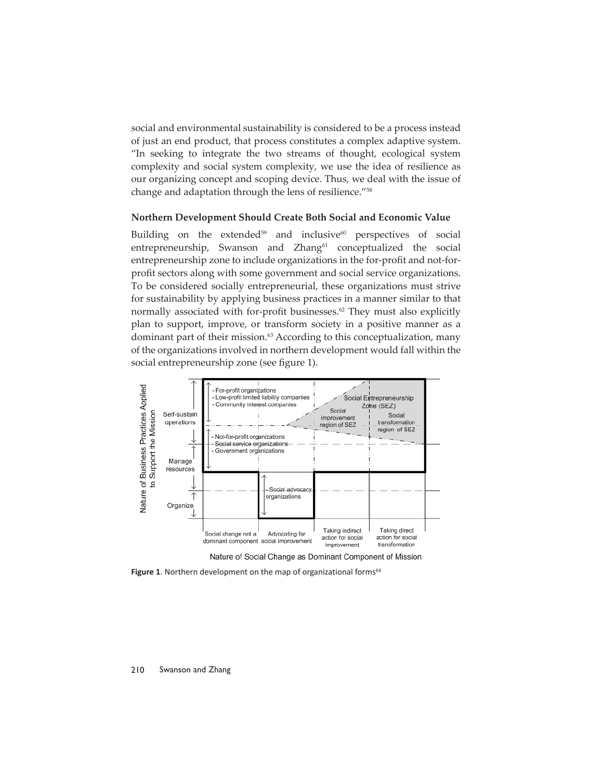social and environmental sustainability is considered to be a process instead of just an end product, that process constitutes a complex adaptive system. "In seeking to integrate the two streams of thought, ecological system complexity and social system complexity, we use the idea of resilience as our organizing concept and scoping device. Thus, we deal with the issue of change and adaptation through the lens of resilience."58

# **Northern Development Should Create Both Social and Economic Value**

Building on the extended<sup>59</sup> and inclusive<sup>60</sup> perspectives of social entrepreneurship, Swanson and Zhang<sup>61</sup> conceptualized the social entrepreneurship zone to include organizations in the for-profit and not-forprofit sectors along with some government and social service organizations. To be considered socially entrepreneurial, these organizations must strive for sustainability by applying business practices in a manner similar to that normally associated with for-profit businesses.<sup>62</sup> They must also explicitly plan to support, improve, or transform society in a positive manner as a dominant part of their mission.63 According to this conceptualization, many of the organizations involved in northern development would fall within the social entrepreneurship zone (see figure 1).



Nature of Social Change as Dominant Component of Mission

**Figure 1.** Northern development on the map of organizational forms<sup>64</sup>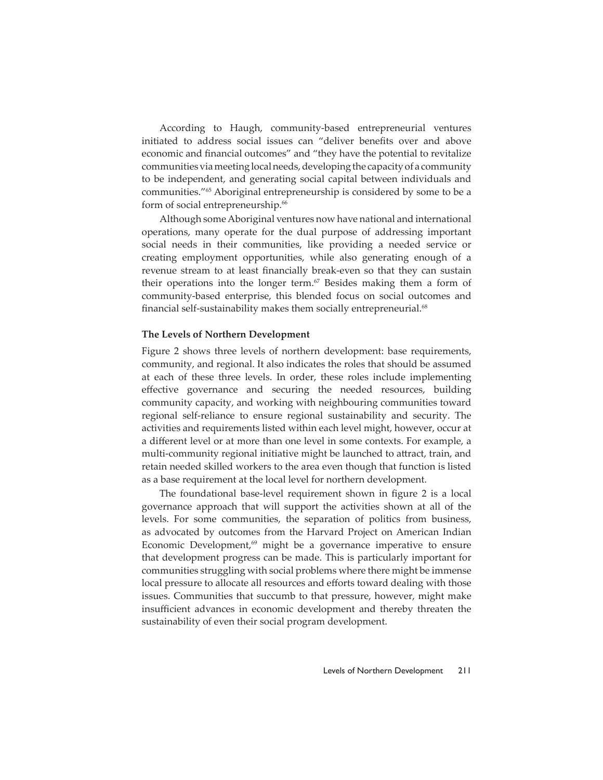According to Haugh, community-based entrepreneurial ventures initiated to address social issues can "deliver benefits over and above economic and financial outcomes" and "they have the potential to revitalize communities via meeting local needs, developing the capacity of a community to be independent, and generating social capital between individuals and communities."65 Aboriginal entrepreneurship is considered by some to be a form of social entrepreneurship.<sup>66</sup>

Although some Aboriginal ventures now have national and international operations, many operate for the dual purpose of addressing important social needs in their communities, like providing a needed service or creating employment opportunities, while also generating enough of a revenue stream to at least financially break-even so that they can sustain their operations into the longer term.<sup>67</sup> Besides making them a form of community-based enterprise, this blended focus on social outcomes and financial self-sustainability makes them socially entrepreneurial.<sup>68</sup>

#### **The Levels of Northern Development**

Figure 2 shows three levels of northern development: base requirements, community, and regional. It also indicates the roles that should be assumed at each of these three levels. In order, these roles include implementing effective governance and securing the needed resources, building community capacity, and working with neighbouring communities toward regional self-reliance to ensure regional sustainability and security. The activities and requirements listed within each level might, however, occur at a different level or at more than one level in some contexts. For example, a multi-community regional initiative might be launched to attract, train, and retain needed skilled workers to the area even though that function is listed as a base requirement at the local level for northern development.

The foundational base-level requirement shown in figure 2 is a local governance approach that will support the activities shown at all of the levels. For some communities, the separation of politics from business, as advocated by outcomes from the Harvard Project on American Indian Economic Development, $69$  might be a governance imperative to ensure that development progress can be made. This is particularly important for communities struggling with social problems where there might be immense local pressure to allocate all resources and efforts toward dealing with those issues. Communities that succumb to that pressure, however, might make insufficient advances in economic development and thereby threaten the sustainability of even their social program development.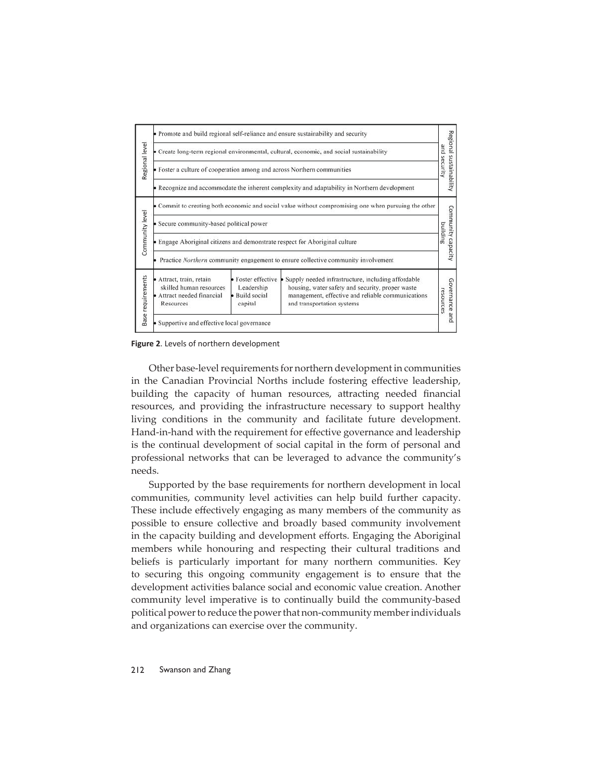| Regional level         | • Promote and build regional self-reliance and ensure sustainability and security                    |                                                                  |                                                                                                                                                                                           | Regional sustainability<br>Bue<br>security |
|------------------------|------------------------------------------------------------------------------------------------------|------------------------------------------------------------------|-------------------------------------------------------------------------------------------------------------------------------------------------------------------------------------------|--------------------------------------------|
|                        | Create long-term regional environmental, cultural, economic, and social sustainability               |                                                                  |                                                                                                                                                                                           |                                            |
|                        | • Foster a culture of cooperation among and across Northern communities                              |                                                                  |                                                                                                                                                                                           |                                            |
|                        | Recognize and accommodate the inherent complexity and adaptability in Northern development           |                                                                  |                                                                                                                                                                                           |                                            |
| Community level        | • Commit to creating both economic and social value without compromising one when pursuing the other |                                                                  |                                                                                                                                                                                           |                                            |
|                        | Secure community-based political power                                                               |                                                                  |                                                                                                                                                                                           |                                            |
|                        | Engage Aboriginal citizens and demonstrate respect for Aboriginal culture                            |                                                                  |                                                                                                                                                                                           | Community capacity<br>building             |
|                        | Practice Northern community engagement to ensure collective community involvement                    |                                                                  |                                                                                                                                                                                           |                                            |
| requirements<br>Base i | Attract, train, retain<br>skilled human resources<br>Attract needed financial<br>Resources           | Foster effective<br>Leadership<br><b>Build</b> social<br>capital | Supply needed infrastructure, including affordable<br>housing, water safety and security, proper waste<br>management, effective and reliable communications<br>and transportation systems | Governance<br>resources                    |
|                        | Supportive and effective local governance                                                            |                                                                  |                                                                                                                                                                                           | pue                                        |

**Figure 2**. Levels of northern development

Other base-level requirements for northern development in communities in the Canadian Provincial Norths include fostering effective leadership, building the capacity of human resources, attracting needed financial resources, and providing the infrastructure necessary to support healthy living conditions in the community and facilitate future development. Hand-in-hand with the requirement for effective governance and leadership is the continual development of social capital in the form of personal and professional networks that can be leveraged to advance the community's needs.

Supported by the base requirements for northern development in local communities, community level activities can help build further capacity. These include effectively engaging as many members of the community as possible to ensure collective and broadly based community involvement in the capacity building and development efforts. Engaging the Aboriginal members while honouring and respecting their cultural traditions and beliefs is particularly important for many northern communities. Key to securing this ongoing community engagement is to ensure that the development activities balance social and economic value creation. Another community level imperative is to continually build the community-based political power to reduce the power that non-community member individuals and organizations can exercise over the community.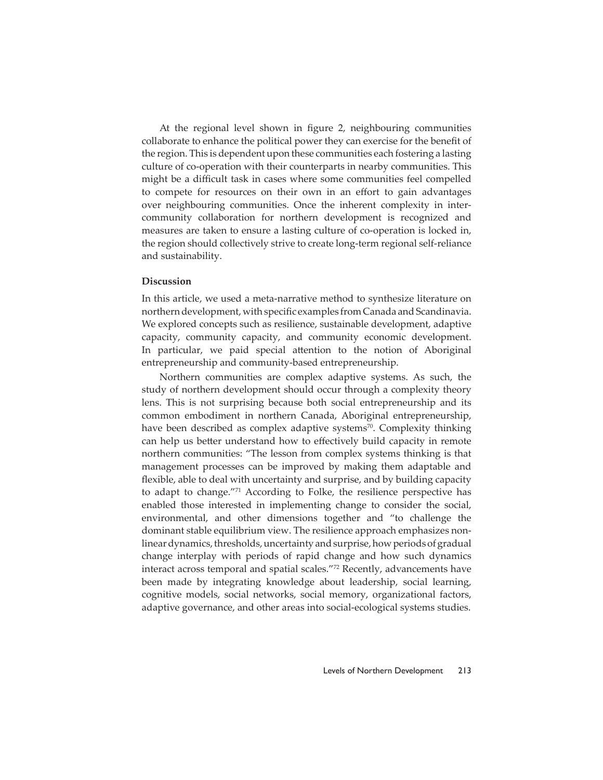At the regional level shown in figure 2, neighbouring communities collaborate to enhance the political power they can exercise for the benefit of the region. This is dependent upon these communities each fostering a lasting culture of co-operation with their counterparts in nearby communities. This might be a difficult task in cases where some communities feel compelled to compete for resources on their own in an effort to gain advantages over neighbouring communities. Once the inherent complexity in intercommunity collaboration for northern development is recognized and measures are taken to ensure a lasting culture of co-operation is locked in, the region should collectively strive to create long-term regional self-reliance and sustainability.

# **Discussion**

In this article, we used a meta-narrative method to synthesize literature on northern development, with specifi c examples from Canada and Scandinavia. We explored concepts such as resilience, sustainable development, adaptive capacity, community capacity, and community economic development. In particular, we paid special attention to the notion of Aboriginal entrepreneurship and community-based entrepreneurship.

Northern communities are complex adaptive systems. As such, the study of northern development should occur through a complexity theory lens. This is not surprising because both social entrepreneurship and its common embodiment in northern Canada, Aboriginal entrepreneurship, have been described as complex adaptive systems<sup>70</sup>. Complexity thinking can help us better understand how to effectively build capacity in remote northern communities: "The lesson from complex systems thinking is that management processes can be improved by making them adaptable and flexible, able to deal with uncertainty and surprise, and by building capacity to adapt to change."71 According to Folke, the resilience perspective has enabled those interested in implementing change to consider the social, environmental, and other dimensions together and "to challenge the dominant stable equilibrium view. The resilience approach emphasizes nonlinear dynamics, thresholds, uncertainty and surprise, how periods of gradual change interplay with periods of rapid change and how such dynamics interact across temporal and spatial scales."72 Recently, advancements have been made by integrating knowledge about leadership, social learning, cognitive models, social networks, social memory, organizational factors, adaptive governance, and other areas into social-ecological systems studies.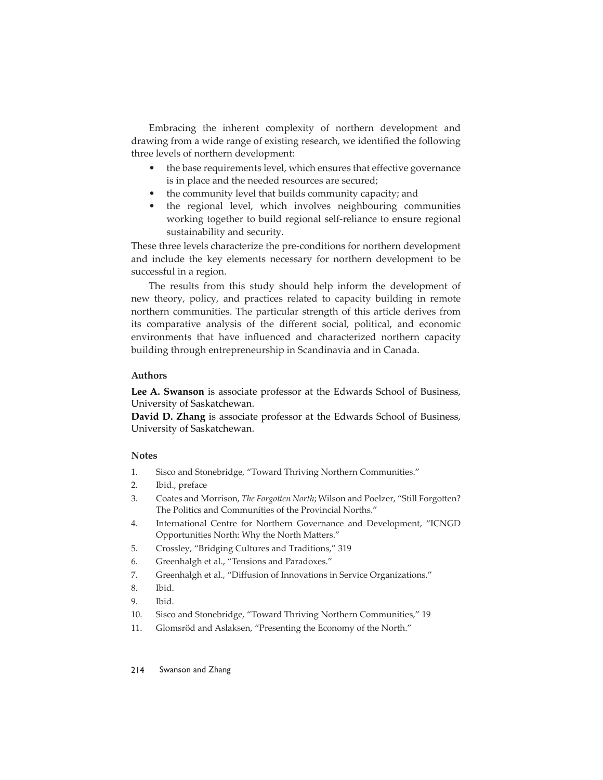Embracing the inherent complexity of northern development and drawing from a wide range of existing research, we identified the following three levels of northern development:

- the base requirements level, which ensures that effective governance is in place and the needed resources are secured;
- the community level that builds community capacity; and
- the regional level, which involves neighbouring communities working together to build regional self-reliance to ensure regional sustainability and security.

These three levels characterize the pre-conditions for northern development and include the key elements necessary for northern development to be successful in a region.

The results from this study should help inform the development of new theory, policy, and practices related to capacity building in remote northern communities. The particular strength of this article derives from its comparative analysis of the different social, political, and economic environments that have influenced and characterized northern capacity building through entrepreneurship in Scandinavia and in Canada.

# **Authors**

**Lee A. Swanson** is associate professor at the Edwards School of Business, University of Saskatchewan.

**David D. Zhang** is associate professor at the Edwards School of Business, University of Saskatchewan.

# **Notes**

- 1. Sisco and Stonebridge, "Toward Thriving Northern Communities."
- 2. Ibid., preface
- 3. Coates and Morrison, *The Forgotten North*; Wilson and Poelzer, "Still Forgotten? The Politics and Communities of the Provincial Norths."
- 4. International Centre for Northern Governance and Development, "ICNGD Opportunities North: Why the North Matters."
- 5. Crossley, "Bridging Cultures and Traditions," 319
- 6. Greenhalgh et al., "Tensions and Paradoxes."
- 7. Greenhalgh et al., "Diffusion of Innovations in Service Organizations."
- 8. Ibid.
- 9. Ibid.
- 10. Sisco and Stonebridge, "Toward Thriving Northern Communities," 19
- 11. Glomsröd and Aslaksen, "Presenting the Economy of the North."

#### 214 Swanson and Zhang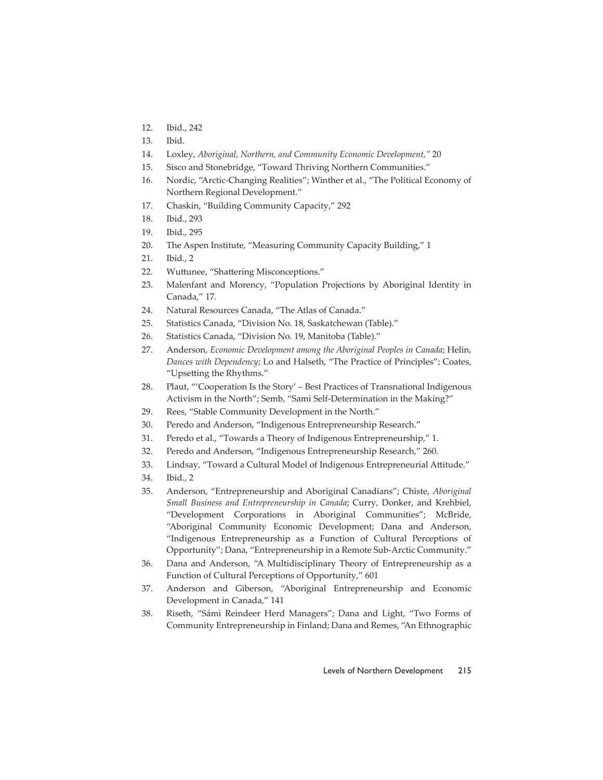- 12. Ibid., 242
- 13. Ibid.
- 14. Loxley, *Aboriginal, Northern, and Community Economic Development,"* 20
- 15. Sisco and Stonebridge, "Toward Thriving Northern Communities."
- 16. Nordic, "Arctic-Changing Realities"; Winther et al., "The Political Economy of Northern Regional Development."
- 17. Chaskin, "Building Community Capacity," 292
- 18. Ibid., 293
- 19. Ibid., 295
- 20. The Aspen Institute, "Measuring Community Capacity Building," 1
- 21. Ibid., 2
- 22. Wuttunee, "Shattering Misconceptions."
- 23. Malenfant and Morency, "Population Projections by Aboriginal Identity in Canada," 17.
- 24. Natural Resources Canada, "The Atlas of Canada."
- 25. Statistics Canada, "Division No. 18, Saskatchewan (Table)."
- 26. Statistics Canada, "Division No. 19, Manitoba (Table)."
- 27. Anderson, *Economic Development among the Aboriginal Peoples in Canada*; Helin, *Dances with Dependency*; Lo and Halseth, "The Practice of Principles"; Coates, "Upsetting the Rhythms."
- 28. Plaut, "'Cooperation Is the Story' Best Practices of Transnational Indigenous Activism in the North"; Semb, "Sami Self-Determination in the Making?"
- 29. Rees, "Stable Community Development in the North."
- 30. Peredo and Anderson, "Indigenous Entrepreneurship Research."
- 31. Peredo et al., "Towards a Theory of Indigenous Entrepreneurship," 1.
- 32. Peredo and Anderson, "Indigenous Entrepreneurship Research," 260.
- 33. Lindsay, "Toward a Cultural Model of Indigenous Entrepreneurial Attitude."
- 34. Ibid., 2
- 35. Anderson, "Entrepreneurship and Aboriginal Canadians"; Chiste, *Aboriginal Small Business and Entrepreneurship in Canada*; Curry, Donker, and Krehbiel, "Development Corporations in Aboriginal Communities"; McBride, "Aboriginal Community Economic Development; Dana and Anderson, "Indigenous Entrepreneurship as a Function of Cultural Perceptions of Opportunity"; Dana, "Entrepreneurship in a Remote Sub-Arctic Community."
- 36. Dana and Anderson, "A Multidisciplinary Theory of Entrepreneurship as a Function of Cultural Perceptions of Opportunity," 601
- 37. Anderson and Giberson, "Aboriginal Entrepreneurship and Economic Development in Canada," 141
- 38. Riseth, "Sámi Reindeer Herd Managers"; Dana and Light, "Two Forms of Community Entrepreneurship in Finland; Dana and Remes, "An Ethnographic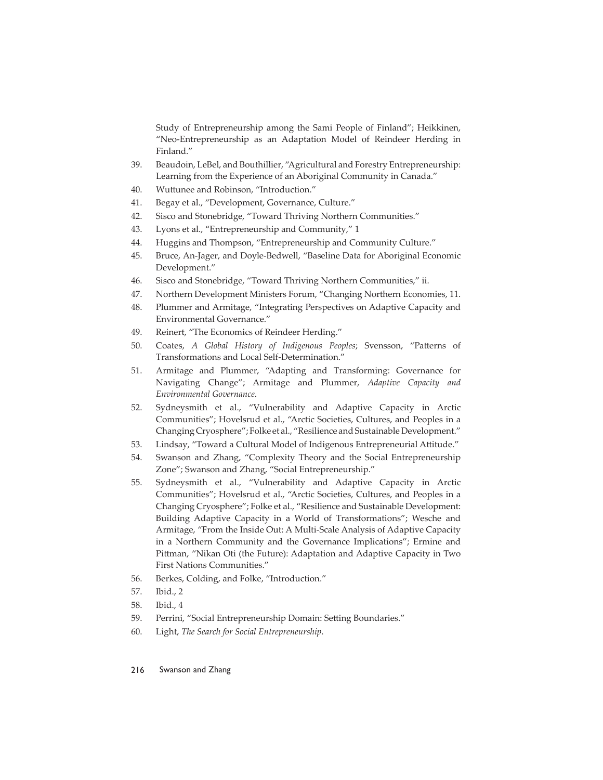Study of Entrepreneurship among the Sami People of Finland"; Heikkinen, "Neo-Entrepreneurship as an Adaptation Model of Reindeer Herding in Finland."

- 39. Beaudoin, LeBel, and Bouthillier, "Agricultural and Forestry Entrepreneurship: Learning from the Experience of an Aboriginal Community in Canada."
- 40. Wuttunee and Robinson, "Introduction."
- 41. Begay et al., "Development, Governance, Culture."
- 42. Sisco and Stonebridge, "Toward Thriving Northern Communities."
- 43. Lyons et al., "Entrepreneurship and Community," 1
- 44. Huggins and Thompson, "Entrepreneurship and Community Culture."
- 45. Bruce, An-Jager, and Doyle-Bedwell, "Baseline Data for Aboriginal Economic Development."
- 46. Sisco and Stonebridge, "Toward Thriving Northern Communities," ii.
- 47. Northern Development Ministers Forum, "Changing Northern Economies, 11.
- 48. Plummer and Armitage, "Integrating Perspectives on Adaptive Capacity and Environmental Governance."
- 49. Reinert, "The Economics of Reindeer Herding."
- 50. Coates, *A Global History of Indigenous Peoples*; Svensson, "Patterns of Transformations and Local Self-Determination."
- 51. Armitage and Plummer, "Adapting and Transforming: Governance for Navigating Change"; Armitage and Plummer, *Adaptive Capacity and Environmental Governance*.
- 52. Sydneysmith et al., "Vulnerability and Adaptive Capacity in Arctic Communities"; Hovelsrud et al., "Arctic Societies, Cultures, and Peoples in a Changing Cryosphere"; Folke et al., "Resilience and Sustainable Development."
- 53. Lindsay, "Toward a Cultural Model of Indigenous Entrepreneurial Attitude."
- 54. Swanson and Zhang, "Complexity Theory and the Social Entrepreneurship Zone"; Swanson and Zhang, "Social Entrepreneurship."
- 55. Sydneysmith et al., "Vulnerability and Adaptive Capacity in Arctic Communities"; Hovelsrud et al., "Arctic Societies, Cultures, and Peoples in a Changing Cryosphere"; Folke et al., "Resilience and Sustainable Development: Building Adaptive Capacity in a World of Transformations"; Wesche and Armitage, "From the Inside Out: A Multi-Scale Analysis of Adaptive Capacity in a Northern Community and the Governance Implications"; Ermine and Pittman, "Nikan Oti (the Future): Adaptation and Adaptive Capacity in Two First Nations Communities."
- 56. Berkes, Colding, and Folke, "Introduction."
- 57. Ibid., 2
- 58. Ibid., 4
- 59. Perrini, "Social Entrepreneurship Domain: Setting Boundaries."
- 60. Light, *The Search for Social Entrepreneurship*.
- 216 Swanson and Zhang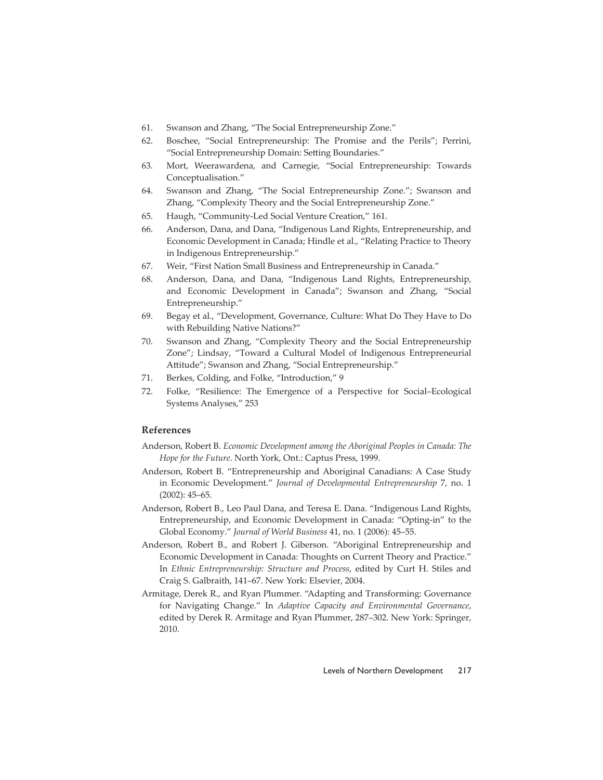- 61. Swanson and Zhang, "The Social Entrepreneurship Zone."
- 62. Boschee, "Social Entrepreneurship: The Promise and the Perils"; Perrini, "Social Entrepreneurship Domain: Setting Boundaries."
- 63. Mort, Weerawardena, and Carnegie, "Social Entrepreneurship: Towards Conceptualisation."
- 64. Swanson and Zhang, "The Social Entrepreneurship Zone."; Swanson and Zhang, "Complexity Theory and the Social Entrepreneurship Zone."
- 65. Haugh, "Community-Led Social Venture Creation," 161.
- 66. Anderson, Dana, and Dana, "Indigenous Land Rights, Entrepreneurship, and Economic Development in Canada; Hindle et al., "Relating Practice to Theory in Indigenous Entrepreneurship."
- 67. Weir, "First Nation Small Business and Entrepreneurship in Canada."
- 68. Anderson, Dana, and Dana, "Indigenous Land Rights, Entrepreneurship, and Economic Development in Canada"; Swanson and Zhang, "Social Entrepreneurship."
- 69. Begay et al., "Development, Governance, Culture: What Do They Have to Do with Rebuilding Native Nations?"
- 70. Swanson and Zhang, "Complexity Theory and the Social Entrepreneurship Zone"; Lindsay, "Toward a Cultural Model of Indigenous Entrepreneurial Attitude"; Swanson and Zhang, "Social Entrepreneurship."
- 71. Berkes, Colding, and Folke, "Introduction," 9
- 72. Folke, "Resilience: The Emergence of a Perspective for Social–Ecological Systems Analyses," 253

# **References**

- Anderson, Robert B. *Economic Development among the Aboriginal Peoples in Canada: The Hope for the Future*. North York, Ont.: Captus Press, 1999.
- Anderson, Robert B. "Entrepreneurship and Aboriginal Canadians: A Case Study in Economic Development." *Journal of Developmental Entrepreneurship* 7, no. 1 (2002): 45–65.
- Anderson, Robert B., Leo Paul Dana, and Teresa E. Dana. "Indigenous Land Rights, Entrepreneurship, and Economic Development in Canada: "Opting-in" to the Global Economy." *Journal of World Business* 41, no. 1 (2006): 45–55.
- Anderson, Robert B., and Robert J. Giberson. "Aboriginal Entrepreneurship and Economic Development in Canada: Thoughts on Current Theory and Practice." In *Ethnic Entrepreneurship: Structure and Process*, edited by Curt H. Stiles and Craig S. Galbraith, 141–67. New York: Elsevier, 2004.
- Armitage, Derek R., and Ryan Plummer. "Adapting and Transforming: Governance for Navigating Change." In *Adaptive Capacity and Environmental Governance*, edited by Derek R. Armitage and Ryan Plummer, 287–302. New York: Springer, 2010.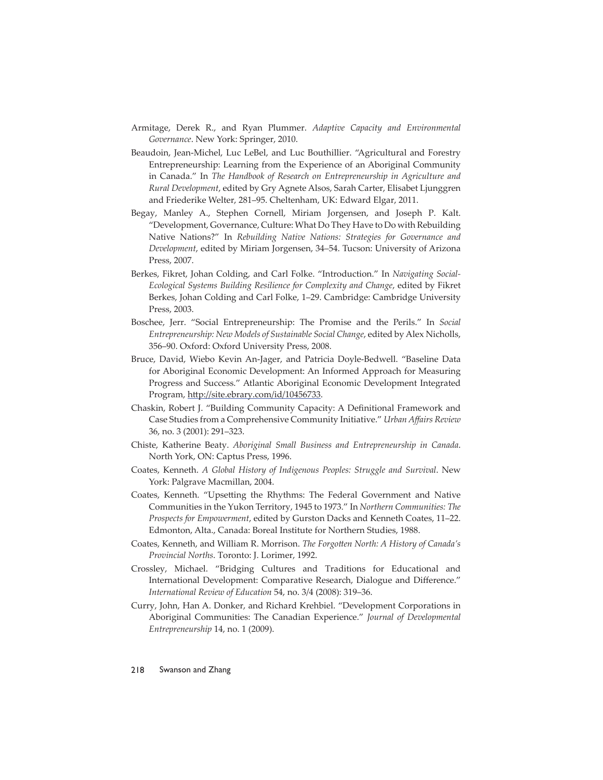- Armitage, Derek R., and Ryan Plummer. *Adaptive Capacity and Environmental Governance*. New York: Springer, 2010.
- Beaudoin, Jean-Michel, Luc LeBel, and Luc Bouthillier. "Agricultural and Forestry Entrepreneurship: Learning from the Experience of an Aboriginal Community in Canada." In *The Handbook of Research on Entrepreneurship in Agriculture and Rural Development*, edited by Gry Agnete Alsos, Sarah Carter, Elisabet Ljunggren and Friederike Welter, 281–95. Cheltenham, UK: Edward Elgar, 2011.
- Begay, Manley A., Stephen Cornell, Miriam Jorgensen, and Joseph P. Kalt. "Development, Governance, Culture: What Do They Have to Do with Rebuilding Native Nations?" In *Rebuilding Native Nations: Strategies for Governance and Development*, edited by Miriam Jorgensen, 34–54. Tucson: University of Arizona Press, 2007.
- Berkes, Fikret, Johan Colding, and Carl Folke. "Introduction." In *Navigating Social-Ecological Systems Building Resilience for Complexity and Change*, edited by Fikret Berkes, Johan Colding and Carl Folke, 1–29. Cambridge: Cambridge University Press, 2003.
- Boschee, Jerr. "Social Entrepreneurship: The Promise and the Perils." In *Social Entrepreneurship: New Models of Sustainable Social Change*, edited by Alex Nicholls, 356–90. Oxford: Oxford University Press, 2008.
- Bruce, David, Wiebo Kevin An-Jager, and Patricia Doyle-Bedwell. "Baseline Data for Aboriginal Economic Development: An Informed Approach for Measuring Progress and Success." Atlantic Aboriginal Economic Development Integrated Program, http://site.ebrary.com/id/10456733.
- Chaskin, Robert J. "Building Community Capacity: A Definitional Framework and Case Studies from a Comprehensive Community Initiative." *Urban Affairs Review* 36, no. 3 (2001): 291–323.
- Chiste, Katherine Beaty. *Aboriginal Small Business and Entrepreneurship in Canada*. North York, ON: Captus Press, 1996.
- Coates, Kenneth. *A Global History of Indigenous Peoples: Struggle and Survival*. New York: Palgrave Macmillan, 2004.
- Coates, Kenneth. "Upsetting the Rhythms: The Federal Government and Native Communities in the Yukon Territory, 1945 to 1973." In *Northern Communities: The Prospects for Empowerment*, edited by Gurston Dacks and Kenneth Coates, 11–22. Edmonton, Alta., Canada: Boreal Institute for Northern Studies, 1988.
- Coates, Kenneth, and William R. Morrison. *The Forgotten North: A History of Canada's Provincial Norths*. Toronto: J. Lorimer, 1992.
- Crossley, Michael. "Bridging Cultures and Traditions for Educational and International Development: Comparative Research, Dialogue and Difference." *International Review of Education* 54, no. 3/4 (2008): 319–36.
- Curry, John, Han A. Donker, and Richard Krehbiel. "Development Corporations in Aboriginal Communities: The Canadian Experience." *Journal of Developmental Entrepreneurship* 14, no. 1 (2009).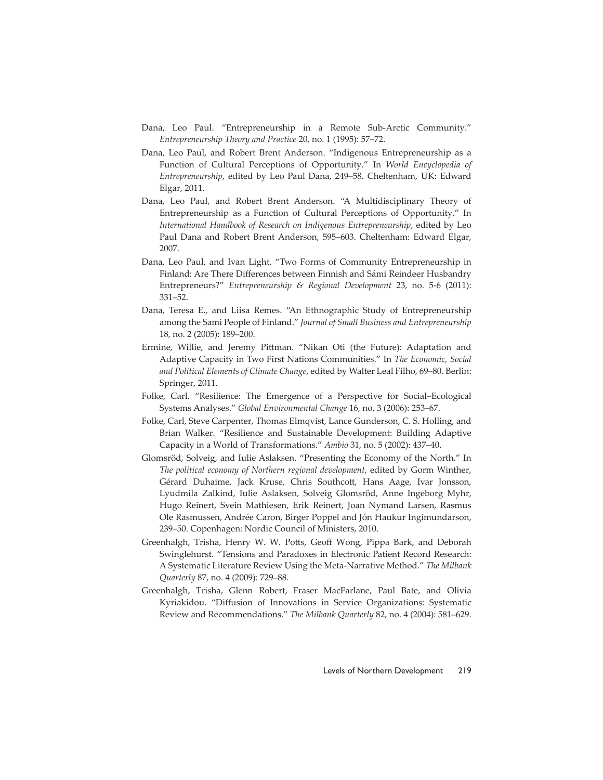- Dana, Leo Paul. "Entrepreneurship in a Remote Sub-Arctic Community." *Entrepreneurship Theory and Practice* 20, no. 1 (1995): 57–72.
- Dana, Leo Paul, and Robert Brent Anderson. "Indigenous Entrepreneurship as a Function of Cultural Perceptions of Opportunity." In *World Encyclopedia of Entrepreneurship*, edited by Leo Paul Dana, 249–58. Cheltenham, UK: Edward Elgar, 2011.
- Dana, Leo Paul, and Robert Brent Anderson. "A Multidisciplinary Theory of Entrepreneurship as a Function of Cultural Perceptions of Opportunity." In *International Handbook of Research on Indigenous Entrepreneurship*, edited by Leo Paul Dana and Robert Brent Anderson, 595–603. Cheltenham: Edward Elgar, 2007.
- Dana, Leo Paul, and Ivan Light. "Two Forms of Community Entrepreneurship in Finland: Are There Differences between Finnish and Sámi Reindeer Husbandry Entrepreneurs?" *Entrepreneurship & Regional Development* 23, no. 5-6 (2011): 331–52.
- Dana, Teresa E., and Liisa Remes. "An Ethnographic Study of Entrepreneurship among the Sami People of Finland." *Journal of Small Business and Entrepreneurship*  18, no. 2 (2005): 189–200.
- Ermine, Willie, and Jeremy Pittman. "Nikan Oti (the Future): Adaptation and Adaptive Capacity in Two First Nations Communities." In *The Economic, Social and Political Elements of Climate Change*, edited by Walter Leal Filho, 69–80. Berlin: Springer, 2011.
- Folke, Carl. "Resilience: The Emergence of a Perspective for Social–Ecological Systems Analyses." *Global Environmental Change* 16, no. 3 (2006): 253–67.
- Folke, Carl, Steve Carpenter, Thomas Elmqvist, Lance Gunderson, C. S. Holling, and Brian Walker. "Resilience and Sustainable Development: Building Adaptive Capacity in a World of Transformations." *Ambio* 31, no. 5 (2002): 437–40.
- Glomsröd, Solveig, and Iulie Aslaksen. "Presenting the Economy of the North." In *The political economy of Northern regional development*, edited by Gorm Winther, Gérard Duhaime, Jack Kruse, Chris Southcott, Hans Aage, Ivar Jonsson, Lyudmila Zalkind, Iulie Aslaksen, Solveig Glomsröd, Anne Ingeborg Myhr, Hugo Reinert, Svein Mathiesen, Erik Reinert, Joan Nymand Larsen, Rasmus Ole Rasmussen, Andrée Caron, Birger Poppel and Jón Haukur Ingimundarson, 239–50. Copenhagen: Nordic Council of Ministers, 2010.
- Greenhalgh, Trisha, Henry W. W. Potts, Geoff Wong, Pippa Bark, and Deborah Swinglehurst. "Tensions and Paradoxes in Electronic Patient Record Research: A Systematic Literature Review Using the Meta-Narrative Method." *The Milbank Quarterly* 87, no. 4 (2009): 729–88.
- Greenhalgh, Trisha, Glenn Robert, Fraser MacFarlane, Paul Bate, and Olivia Kyriakidou. "Diffusion of Innovations in Service Organizations: Systematic Review and Recommendations." *The Milbank Quarterly* 82, no. 4 (2004): 581–629.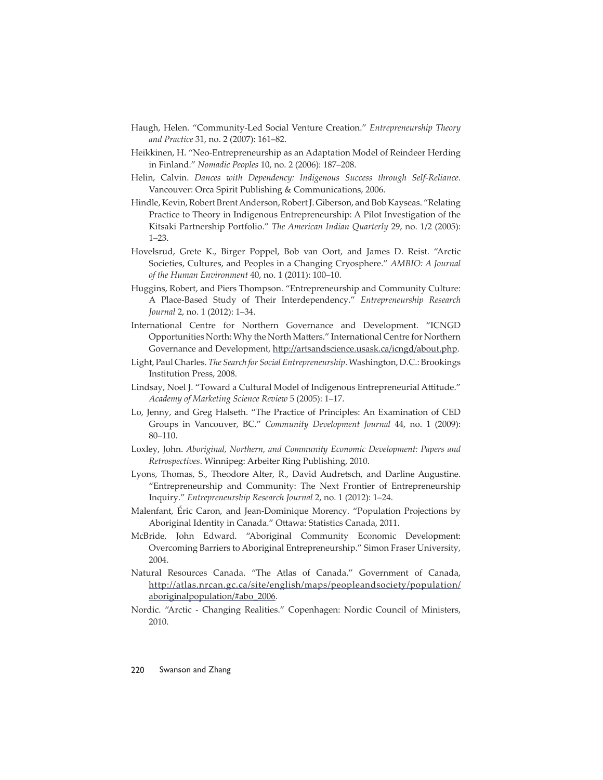- Haugh, Helen. "Community-Led Social Venture Creation." *Entrepreneurship Theory and Practice* 31, no. 2 (2007): 161–82.
- Heikkinen, H. "Neo-Entrepreneurship as an Adaptation Model of Reindeer Herding in Finland." *Nomadic Peoples* 10, no. 2 (2006): 187–208.
- Helin, Calvin. *Dances with Dependency: Indigenous Success through Self-Reliance*. Vancouver: Orca Spirit Publishing & Communications, 2006.
- Hindle, Kevin, Robert Brent Anderson, Robert J. Giberson, and Bob Kayseas. "Relating Practice to Theory in Indigenous Entrepreneurship: A Pilot Investigation of the Kitsaki Partnership Portfolio." *The American Indian Quarterly* 29, no. 1/2 (2005): 1–23.
- Hovelsrud, Grete K., Birger Poppel, Bob van Oort, and James D. Reist. "Arctic Societies, Cultures, and Peoples in a Changing Cryosphere." *AMBIO: A Journal of the Human Environment* 40, no. 1 (2011): 100–10.
- Huggins, Robert, and Piers Thompson. "Entrepreneurship and Community Culture: A Place-Based Study of Their Interdependency." *Entrepreneurship Research Journal* 2, no. 1 (2012): 1–34.
- International Centre for Northern Governance and Development. "ICNGD Opportunities North: Why the North Matters." International Centre for Northern Governance and Development, http://artsandscience.usask.ca/icngd/about.php.
- Light, Paul Charles. *The Search for Social Entrepreneurship*. Washington, D.C.: Brookings Institution Press, 2008.
- Lindsay, Noel J. "Toward a Cultural Model of Indigenous Entrepreneurial Attitude." *Academy of Marketing Science Review* 5 (2005): 1–17.
- Lo, Jenny, and Greg Halseth. "The Practice of Principles: An Examination of CED Groups in Vancouver, BC." *Community Development Journal* 44, no. 1 (2009): 80–110.
- Loxley, John. *Aboriginal, Northern, and Community Economic Development: Papers and Retrospectives*. Winnipeg: Arbeiter Ring Publishing, 2010.
- Lyons, Thomas, S., Theodore Alter, R., David Audretsch, and Darline Augustine. "Entrepreneurship and Community: The Next Frontier of Entrepreneurship Inquiry." *Entrepreneurship Research Journal* 2, no. 1 (2012): 1–24.
- Malenfant, Éric Caron, and Jean-Dominique Morency. "Population Projections by Aboriginal Identity in Canada." Ottawa: Statistics Canada, 2011.
- McBride, John Edward. "Aboriginal Community Economic Development: Overcoming Barriers to Aboriginal Entrepreneurship." Simon Fraser University, 2004.
- Natural Resources Canada. "The Atlas of Canada." Government of Canada, http://atlas.nrcan.gc.ca/site/english/maps/peopleandsociety/population/ aboriginalpopulation/#abo\_2006.
- Nordic. "Arctic Changing Realities." Copenhagen: Nordic Council of Ministers, 2010.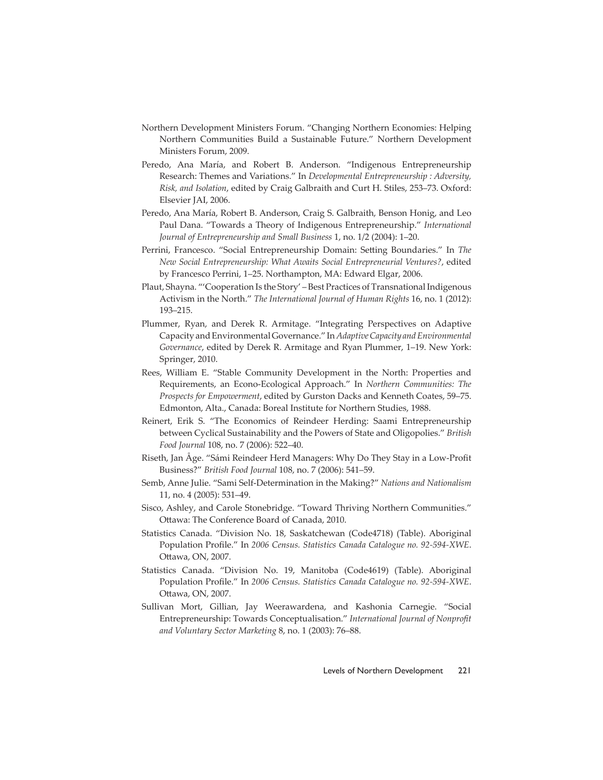- Northern Development Ministers Forum. "Changing Northern Economies: Helping Northern Communities Build a Sustainable Future." Northern Development Ministers Forum, 2009.
- Peredo, Ana María, and Robert B. Anderson. "Indigenous Entrepreneurship Research: Themes and Variations." In *Developmental Entrepreneurship : Adversity, Risk, and Isolation*, edited by Craig Galbraith and Curt H. Stiles, 253–73. Oxford: Elsevier JAI, 2006.
- Peredo, Ana María, Robert B. Anderson, Craig S. Galbraith, Benson Honig, and Leo Paul Dana. "Towards a Theory of Indigenous Entrepreneurship." *International Journal of Entrepreneurship and Small Business* 1, no. 1/2 (2004): 1–20.
- Perrini, Francesco. "Social Entrepreneurship Domain: Setting Boundaries." In *The New Social Entrepreneurship: What Awaits Social Entrepreneurial Ventures?*, edited by Francesco Perrini, 1–25. Northampton, MA: Edward Elgar, 2006.
- Plaut, Shayna. "'Cooperation Is the Story' Best Practices of Transnational Indigenous Activism in the North." *The International Journal of Human Rights* 16, no. 1 (2012): 193–215.
- Plummer, Ryan, and Derek R. Armitage. "Integrating Perspectives on Adaptive Capacity and Environmental Governance." In *Adaptive Capacity and Environmental Governance*, edited by Derek R. Armitage and Ryan Plummer, 1–19. New York: Springer, 2010.
- Rees, William E. "Stable Community Development in the North: Properties and Requirements, an Econo-Ecological Approach." In *Northern Communities: The Prospects for Empowerment*, edited by Gurston Dacks and Kenneth Coates, 59–75. Edmonton, Alta., Canada: Boreal Institute for Northern Studies, 1988.
- Reinert, Erik S. "The Economics of Reindeer Herding: Saami Entrepreneurship between Cyclical Sustainability and the Powers of State and Oligopolies." *British Food Journal* 108, no. 7 (2006): 522–40.
- Riseth, Jan Åge. "Sámi Reindeer Herd Managers: Why Do They Stay in a Low-Profi t Business?" *British Food Journal* 108, no. 7 (2006): 541–59.
- Semb, Anne Julie. "Sami Self-Determination in the Making?" *Nations and Nationalism*  11, no. 4 (2005): 531–49.
- Sisco, Ashley, and Carole Stonebridge. "Toward Thriving Northern Communities." Ottawa: The Conference Board of Canada, 2010.
- Statistics Canada. "Division No. 18, Saskatchewan (Code4718) (Table). Aboriginal Population Profile." In 2006 Census. Statistics Canada Catalogue no. 92-594-XWE. Ottawa, ON, 2007.
- Statistics Canada. "Division No. 19, Manitoba (Code4619) (Table). Aboriginal Population Profile." In 2006 Census. Statistics Canada Catalogue no. 92-594-XWE. Ottawa, ON, 2007.
- Sullivan Mort, Gillian, Jay Weerawardena, and Kashonia Carnegie. "Social Entrepreneurship: Towards Conceptualisation." *International Journal of Nonprofi t and Voluntary Sector Marketing* 8, no. 1 (2003): 76–88.